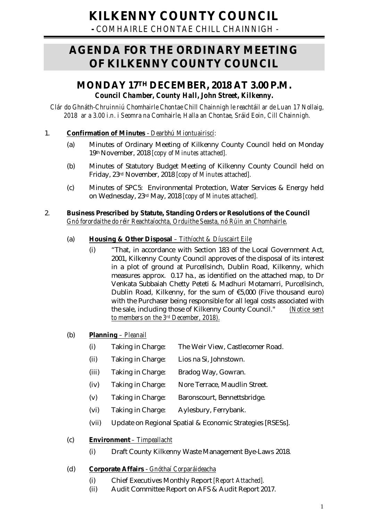**-** *COMHAIRLE CHONTAE CHILL CHAINNIGH -*

# **AGENDA FOR THE ORDINARY MEETING OF KILKENNY COUNTY COUNCIL**

## **MONDAY 17TH DECEMBER, 2018 AT 3.00 P.M.** *Council Chamber, County Hall, John Street, Kilkenny.*

*Clár do Ghnáth-Chruinniú Chomhairle Chontae Chill Chainnigh le reachtáil ar de Luan 17 Nollaig, 2018 ar a 3.00 i.n. i Seomra na Comhairle, Halla an Chontae, Sráid Eoin, Cill Chainnigh.*

## 1. **Confirmation of Minutes** - *Dearbhú Miontuairiscí:*

- (a) Minutes of Ordinary Meeting of Kilkenny County Council held on Monday 19th November, 2018 *[copy of Minutes attached].*
- (b) Minutes of Statutory Budget Meeting of Kilkenny County Council held on Friday, 23rd November, 2018 *[copy of Minutes attached].*
- (c) Minutes of SPC5: Environmental Protection, Water Services & Energy held on Wednesday, 23rd May, 2018 *[copy of Minutes attached].*

## 2. **Business Prescribed by Statute, Standing Orders or Resolutions of the Council** *Gnó forordaithe do réir Reachtaíochta, Orduithe Seasta, nó Rúin an Chomhairle*.

## (a) **Housing & Other Disposal** *– Tithíocht & Díuscairt Eile*

(i) "That, in accordance with Section 183 of the Local Government Act, 2001, Kilkenny County Council approves of the disposal of its interest in a plot of ground at Purcellsinch, Dublin Road, Kilkenny, which measures approx. 0.17 ha., as identified on the attached map, to Dr Venkata Subbaiah Chetty Peteti & Madhuri Motamarri, Purcellsinch, Dublin Road, Kilkenny, for the sum of €5,000 (Five thousand euro) with the Purchaser being responsible for all legal costs associated with the sale, including those of Kilkenny County Council." *(Notice sent to members on the 3rd December, 2018).*

## (b) **Planning** *– Pleanail*

- (i) Taking in Charge: The Weir View, Castlecomer Road.
- (ii) Taking in Charge: Lios na Si, Johnstown.
- (iii) Taking in Charge: Bradog Way, Gowran.
- (iv) Taking in Charge: Nore Terrace, Maudlin Street.
- (v) Taking in Charge: Baronscourt, Bennettsbridge.
- (vi) Taking in Charge: Aylesbury, Ferrybank.
- (vii) Update on Regional Spatial & Economic Strategies [RSESs].

## (c) **Environment** *– Timpeallacht*

(i) Draft County Kilkenny Waste Management Bye-Laws 2018.

## (d) **Corporate Affairs** - *Gnóthaí Corparáideacha*

- (i) Chief Executives Monthly Report *[Report Attached].*
- (ii) Audit Committee Report on AFS & Audit Report 2017.